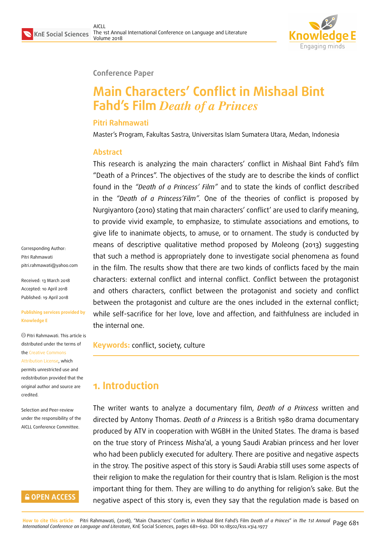

### **Conference Paper**

# **Main Characters' Conflict in Mishaal Bint Fahd's Film** *Death of a Princes*

### **Pitri Rahmawati**

Master's Program, Fakultas Sastra, Universitas Islam Sumatera Utara, Medan, Indonesia

### **Abstract**

This research is analyzing the main characters' conflict in Mishaal Bint Fahd's film "Death of a Princes". The objectives of the study are to describe the kinds of conflict found in the *"Death of a Princess' Film"* and to state the kinds of conflict described in the *"Death of a Princess'Film".* One of the theories of conflict is proposed by Nurgiyantoro (2010) stating that main characters' conflict' are used to clarify meaning, to provide vivid example, to emphasize, to stimulate associations and emotions, to give life to inanimate objects, to amuse, or to ornament. The study is conducted by means of descriptive qualitative method proposed by Moleong (2013) suggesting that such a method is appropriately done to investigate social phenomena as found in the film. The results show that there are two kinds of conflicts faced by the main characters: external conflict and internal conflict. Conflict between the protagonist and others characters, conflict between the protagonist and society and conflict between the protagonist and culture are the ones included in the external conflict; while self-sacrifice for her love, love and affection, and faithfulness are included in the internal one.

**Keywords:** conflict, society, culture

# **1. Introduction**

The writer wants to analyze a documentary film, *Death of a Princess* written and directed by Antony Thomas. *Death of a Princess* is a British 1980 drama documentary produced by ATV in cooperation with WGBH in the United States. The drama is based on the true story of Princess Misha'al, a young Saudi Arabian princess and her lover who had been publicly executed for adultery. There are positive and negative aspects in the stroy. The positive aspect of this story is Saudi Arabia still uses some aspects of their religion to make the regulation for their country that is Islam. Religion is the most important thing for them. They are willing to do anything for religion's sake. But the negative aspect of this story is, even they say that the regulation made is based on

Corresponding Author: Pitri Rahmawati pitri.rahmawati@yahoo.com

Received: 13 March 2018 Accepted: 10 April 2018 [Published: 19 April 2018](mailto:pitri.rahmawati@yahoo.com)

#### **Publishing services provided by Knowledge E**

Pitri Rahmawati. This article is distributed under the terms of the Creative Commons Attribution License, which permits unrestricted use and redistribution provided that the ori[ginal author and sou](https://creativecommons.org/licenses/by/4.0/)rce are [credited.](https://creativecommons.org/licenses/by/4.0/)

Selection and Peer-review under the responsibility of the AICLL Conference Committee.

### **GOPEN ACCESS**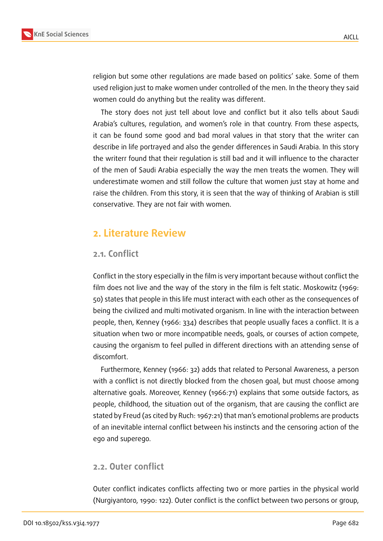

religion but some other regulations are made based on politics' sake. Some of them used religion just to make women under controlled of the men. In the theory they said women could do anything but the reality was different.

The story does not just tell about love and conflict but it also tells about Saudi Arabia's cultures, regulation, and women's role in that country. From these aspects, it can be found some good and bad moral values in that story that the writer can describe in life portrayed and also the gender differences in Saudi Arabia. In this story the writerr found that their regulation is still bad and it will influence to the character of the men of Saudi Arabia especially the way the men treats the women. They will underestimate women and still follow the culture that women just stay at home and raise the children. From this story, it is seen that the way of thinking of Arabian is still conservative. They are not fair with women.

# **2. Literature Review**

### **2.1. Conflict**

Conflict in the story especially in the film is very important because without conflict the film does not live and the way of the story in the film is felt static. Moskowitz (1969: 50) states that people in this life must interact with each other as the consequences of being the civilized and multi motivated organism. In line with the interaction between people, then, Kenney (1966: 334) describes that people usually faces a conflict. It is a situation when two or more incompatible needs, goals, or courses of action compete, causing the organism to feel pulled in different directions with an attending sense of discomfort.

Furthermore, Kenney (1966: 32) adds that related to Personal Awareness, a person with a conflict is not directly blocked from the chosen goal, but must choose among alternative goals. Moreover, Kenney (1966:71) explains that some outside factors, as people, childhood, the situation out of the organism, that are causing the conflict are stated by Freud (as cited by Ruch: 1967:21) that man's emotional problems are products of an inevitable internal conflict between his instincts and the censoring action of the ego and superego.

### **2.2. Outer conflict**

Outer conflict indicates conflicts affecting two or more parties in the physical world (Nurgiyantoro, 1990: 122). Outer conflict is the conflict between two persons or group,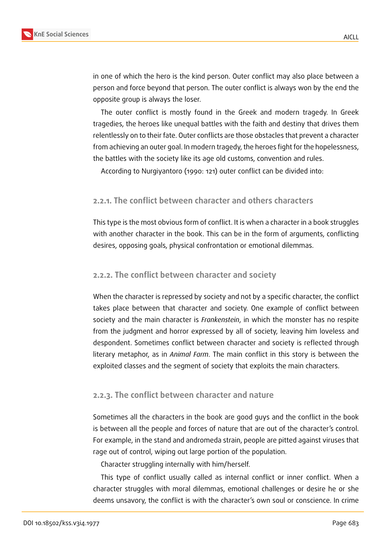

in one of which the hero is the kind person. Outer conflict may also place between a person and force beyond that person. The outer conflict is always won by the end the opposite group is always the loser.

The outer conflict is mostly found in the Greek and modern tragedy. In Greek tragedies, the heroes like unequal battles with the faith and destiny that drives them relentlessly on to their fate. Outer conflicts are those obstacles that prevent a character from achieving an outer goal. In modern tragedy, the heroes fight for the hopelessness, the battles with the society like its age old customs, convention and rules.

According to Nurgiyantoro (1990: 121) outer conflict can be divided into:

### **2.2.1. The conflict between character and others characters**

This type is the most obvious form of conflict. It is when a character in a book struggles with another character in the book. This can be in the form of arguments, conflicting desires, opposing goals, physical confrontation or emotional dilemmas.

#### **2.2.2. The conflict between character and society**

When the character is repressed by society and not by a specific character, the conflict takes place between that character and society. One example of conflict between society and the main character is *Frankenstein*, in which the monster has no respite from the judgment and horror expressed by all of society, leaving him loveless and despondent. Sometimes conflict between character and society is reflected through literary metaphor, as in *Animal Farm*. The main conflict in this story is between the exploited classes and the segment of society that exploits the main characters.

### **2.2.3. The conflict between character and nature**

Sometimes all the characters in the book are good guys and the conflict in the book is between all the people and forces of nature that are out of the character's control. For example, in the stand and andromeda strain, people are pitted against viruses that rage out of control, wiping out large portion of the population.

Character struggling internally with him/herself.

This type of conflict usually called as internal conflict or inner conflict. When a character struggles with moral dilemmas, emotional challenges or desire he or she deems unsavory, the conflict is with the character's own soul or conscience. In crime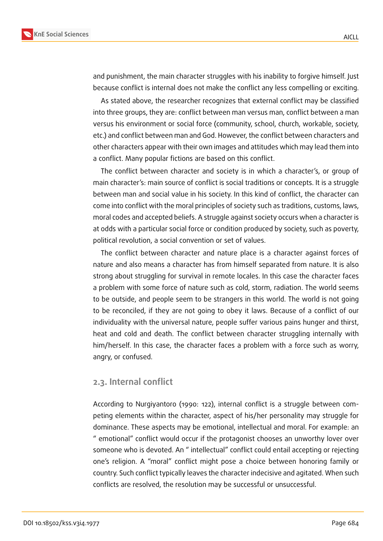

and punishment, the main character struggles with his inability to forgive himself. Just because conflict is internal does not make the conflict any less compelling or exciting.

As stated above, the researcher recognizes that external conflict may be classified into three groups, they are: conflict between man versus man, conflict between a man versus his environment or social force (community, school, church, workable, society, etc.) and conflict between man and God. However, the conflict between characters and other characters appear with their own images and attitudes which may lead them into a conflict. Many popular fictions are based on this conflict.

The conflict between character and society is in which a character's, or group of main character's: main source of conflict is social traditions or concepts. It is a struggle between man and social value in his society. In this kind of conflict, the character can come into conflict with the moral principles of society such as traditions, customs, laws, moral codes and accepted beliefs. A struggle against society occurs when a character is at odds with a particular social force or condition produced by society, such as poverty, political revolution, a social convention or set of values.

The conflict between character and nature place is a character against forces of nature and also means a character has from himself separated from nature. It is also strong about struggling for survival in remote locales. In this case the character faces a problem with some force of nature such as cold, storm, radiation. The world seems to be outside, and people seem to be strangers in this world. The world is not going to be reconciled, if they are not going to obey it laws. Because of a conflict of our individuality with the universal nature, people suffer various pains hunger and thirst, heat and cold and death. The conflict between character struggling internally with him/herself. In this case, the character faces a problem with a force such as worry, angry, or confused.

#### **2.3. Internal conflict**

According to Nurgiyantoro (1990: 122), internal conflict is a struggle between competing elements within the character, aspect of his/her personality may struggle for dominance. These aspects may be emotional, intellectual and moral. For example: an " emotional" conflict would occur if the protagonist chooses an unworthy lover over someone who is devoted. An " intellectual" conflict could entail accepting or rejecting one's religion. A "moral" conflict might pose a choice between honoring family or country. Such conflict typically leaves the character indecisive and agitated. When such conflicts are resolved, the resolution may be successful or unsuccessful.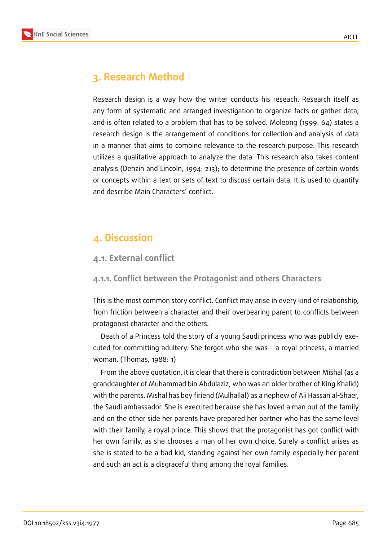

# **3. Research Method**

Research design is a way how the writer conducts his reseach. Research itself as any form of systematic and arranged investigation to organize facts or gather data, and is often related to a problem that has to be solved. Moleong (1999: 64) states a research design is the arrangement of conditions for collection and analysis of data in a manner that aims to combine relevance to the research purpose. This research utilizes a qualitative approach to analyze the data. This research also takes content analysis (Denzin and Lincoln, 1994: 213); to determine the presence of certain words or concepts within a text or sets of text to discuss certain data. It is used to quantify and describe Main Characters' conflict.

### **4. Discussion**

### **4.1. External conflict**

#### **4.1.1. Conflict between the Protagonist and others Characters**

This is the most common story conflict. Conflict may arise in every kind of relationship, from friction between a character and their overbearing parent to conflicts between protagonist character and the others.

Death of a Princess told the story of a young Saudi princess who was publicly executed for committing adultery. She forgot who she was— a royal princess, a married woman. (Thomas, 1988: 1)

From the above quotation, it is clear that there is contradiction between Mishal (as a granddaughter of Muhammad bin Abdulaziz, who was an older brother of King Khalid) with the parents. Mishal has boy firiend (Mulhallal) as a nephew of Ali Hassan al-Shaer, the Saudi ambassador. She is executed because she has loved a man out of the family and on the other side her parents have prepared her partner who has the same level with their family, a royal prince. This shows that the protagonist has got conflict with her own family, as she chooses a man of her own choice. Surely a conflict arises as she is stated to be a bad kid, standing against her own family especially her parent and such an act is a disgraceful thing among the royal families.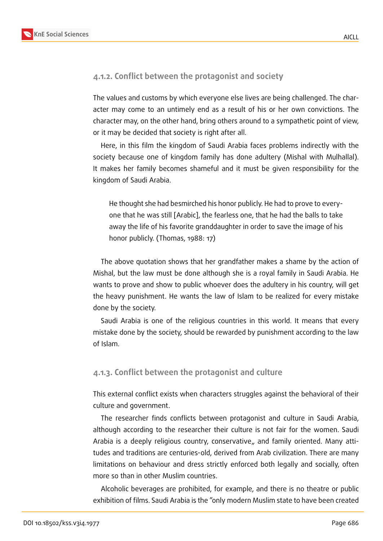

### **4.1.2. Conflict between the protagonist and society**

The values and customs by which everyone else lives are being challenged. The character may come to an untimely end as a result of his or her own convictions. The character may, on the other hand, bring others around to a sympathetic point of view, or it may be decided that society is right after all.

Here, in this film the kingdom of Saudi Arabia faces problems indirectly with the society because one of kingdom family has done adultery (Mishal with Mulhallal). It makes her family becomes shameful and it must be given responsibility for the kingdom of Saudi Arabia.

He thought she had besmirched his honor publicly. He had to prove to everyone that he was still [Arabic], the fearless one, that he had the balls to take away the life of his favorite granddaughter in order to save the image of his honor publicly. (Thomas, 1988: 17)

The above quotation shows that her grandfather makes a shame by the action of Mishal, but the law must be done although she is a royal family in Saudi Arabia. He wants to prove and show to public whoever does the adultery in his country, will get the heavy punishment. He wants the law of Islam to be realized for every mistake done by the society.

Saudi Arabia is one of the religious countries in this world. It means that every mistake done by the society, should be rewarded by punishment according to the law of Islam.

#### **4.1.3. Conflict between the protagonist and culture**

This external conflict exists when characters struggles against the behavioral of their culture and government.

The researcher finds conflicts between protagonist and culture in Saudi Arabia, although according to the researcher their culture is not fair for the women. Saudi Arabia is a deeply religious country, conservative,, and family oriented. Many attitudes and traditions are centuries-old, derived from Arab civilization. There are many limitations on behaviour and dress strictly enforced both legally and socially, often more so than in other Muslim countries.

Alcoholic beverages are prohibited, for example, and there is no theatre or public exhibition of films. Saudi Arabia is the "only modern Muslim state to have been created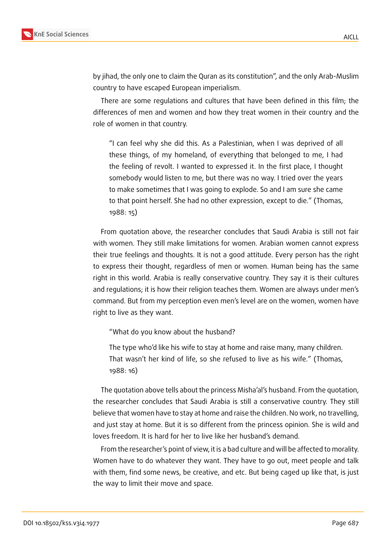

by jihad, the only one to claim the Quran as its constitution", and the only Arab-Muslim country to have escaped European imperialism.

There are some regulations and cultures that have been defined in this film; the differences of men and women and how they treat women in their country and the role of women in that country.

"I can feel why she did this. As a Palestinian, when I was deprived of all these things, of my homeland, of everything that belonged to me, I had the feeling of revolt. I wanted to expressed it. In the first place, I thought somebody would listen to me, but there was no way. I tried over the years to make sometimes that I was going to explode. So and I am sure she came to that point herself. She had no other expression, except to die." (Thomas, 1988: 15)

From quotation above, the researcher concludes that Saudi Arabia is still not fair with women. They still make limitations for women. Arabian women cannot express their true feelings and thoughts. It is not a good attitude. Every person has the right to express their thought, regardless of men or women. Human being has the same right in this world. Arabia is really conservative country. They say it is their cultures and regulations; it is how their religion teaches them. Women are always under men's command. But from my perception even men's level are on the women, women have right to live as they want.

"What do you know about the husband?

The type who'd like his wife to stay at home and raise many, many children. That wasn't her kind of life, so she refused to live as his wife." (Thomas, 1988: 16)

The quotation above tells about the princess Misha'al's husband. From the quotation, the researcher concludes that Saudi Arabia is still a conservative country. They still believe that women have to stay at home and raise the children. No work, no travelling, and just stay at home. But it is so different from the princess opinion. She is wild and loves freedom. It is hard for her to live like her husband's demand.

From the researcher's point of view, it is a bad culture and will be affected to morality. Women have to do whatever they want. They have to go out, meet people and talk with them, find some news, be creative, and etc. But being caged up like that, is just the way to limit their move and space.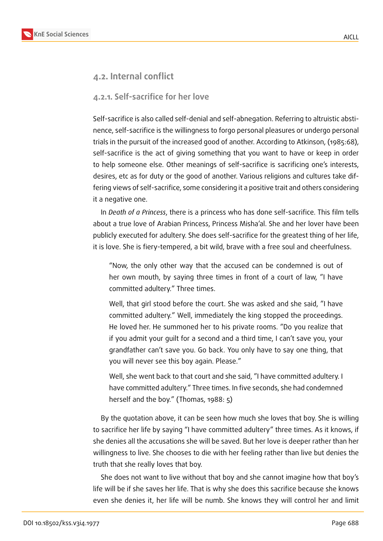

### **4.2. Internal conflict**

### **4.2.1. Self-sacrifice for her love**

Self-sacrifice is also called self-denial and self-abnegation. Referring to altruistic abstinence, self-sacrifice is the willingness to forgo personal pleasures or undergo personal trials in the pursuit of the increased good of another. According to Atkinson, (1985:68), self-sacrifice is the act of giving something that you want to have or keep in order to help someone else. Other meanings of self-sacrifice is sacrificing one's interests, desires, etc as for duty or the good of another. Various religions and cultures take differing views of self-sacrifice, some considering it a positive trait and others considering it a negative one.

In *Death of a Princess*, there is a princess who has done self-sacrifice. This film tells about a true love of Arabian Princess, Princess Misha'al. She and her lover have been publicly executed for adultery. She does self-sacrifice for the greatest thing of her life, it is love. She is fiery-tempered, a bit wild, brave with a free soul and cheerfulness.

"Now, the only other way that the accused can be condemned is out of her own mouth, by saying three times in front of a court of law, "I have committed adultery." Three times.

Well, that girl stood before the court. She was asked and she said, "I have committed adultery." Well, immediately the king stopped the proceedings. He loved her. He summoned her to his private rooms. "Do you realize that if you admit your guilt for a second and a third time, I can't save you, your grandfather can't save you. Go back. You only have to say one thing, that you will never see this boy again. Please."

Well, she went back to that court and she said, "I have committed adultery. I have committed adultery." Three times. In five seconds, she had condemned herself and the boy." (Thomas, 1988: 5)

By the quotation above, it can be seen how much she loves that boy. She is willing to sacrifice her life by saying "I have committed adultery" three times. As it knows, if she denies all the accusations she will be saved. But her love is deeper rather than her willingness to live. She chooses to die with her feeling rather than live but denies the truth that she really loves that boy.

She does not want to live without that boy and she cannot imagine how that boy's life will be if she saves her life. That is why she does this sacrifice because she knows even she denies it, her life will be numb. She knows they will control her and limit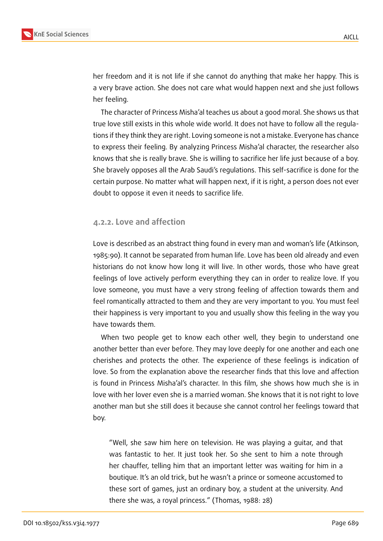

her freedom and it is not life if she cannot do anything that make her happy. This is a very brave action. She does not care what would happen next and she just follows her feeling.

The character of Princess Misha'al teaches us about a good moral. She shows us that true love still exists in this whole wide world. It does not have to follow all the regulations if they think they are right. Loving someone is not a mistake. Everyone has chance to express their feeling. By analyzing Princess Misha'al character, the researcher also knows that she is really brave. She is willing to sacrifice her life just because of a boy. She bravely opposes all the Arab Saudi's regulations. This self-sacrifice is done for the certain purpose. No matter what will happen next, if it is right, a person does not ever doubt to oppose it even it needs to sacrifice life.

#### **4.2.2. Love and affection**

Love is described as an abstract thing found in every man and woman's life (Atkinson, 1985:90). It cannot be separated from human life. Love has been old already and even historians do not know how long it will live. In other words, those who have great feelings of love actively perform everything they can in order to realize love. If you love someone, you must have a very strong feeling of affection towards them and feel romantically attracted to them and they are very important to you. You must feel their happiness is very important to you and usually show this feeling in the way you have towards them.

When two people get to know each other well, they begin to understand one another better than ever before. They may love deeply for one another and each one cherishes and protects the other. The experience of these feelings is indication of love. So from the explanation above the researcher finds that this love and affection is found in Princess Misha'al's character. In this film, she shows how much she is in love with her lover even she is a married woman. She knows that it is not right to love another man but she still does it because she cannot control her feelings toward that boy.

"Well, she saw him here on television. He was playing a guitar, and that was fantastic to her. It just took her. So she sent to him a note through her chauffer, telling him that an important letter was waiting for him in a boutique. It's an old trick, but he wasn't a prince or someone accustomed to these sort of games, just an ordinary boy, a student at the university. And there she was, a royal princess." (Thomas, 1988: 28)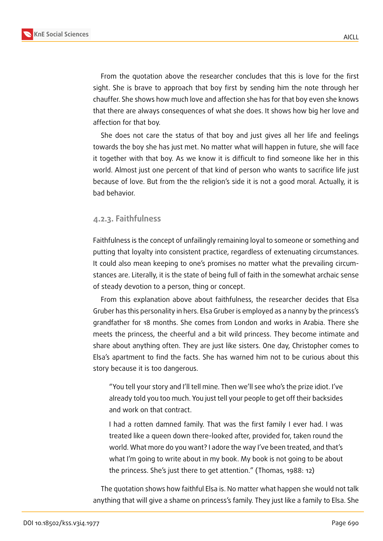

From the quotation above the researcher concludes that this is love for the first sight. She is brave to approach that boy first by sending him the note through her chauffer. She shows how much love and affection she has for that boy even she knows that there are always consequences of what she does. It shows how big her love and affection for that boy.

She does not care the status of that boy and just gives all her life and feelings towards the boy she has just met. No matter what will happen in future, she will face it together with that boy. As we know it is difficult to find someone like her in this world. Almost just one percent of that kind of person who wants to sacrifice life just because of love. But from the the religion's side it is not a good moral. Actually, it is bad behavior.

#### **4.2.3. Faithfulness**

Faithfulness is the concept of unfailingly remaining loyal to someone or something and putting that loyalty into consistent practice, regardless of extenuating circumstances. It could also mean keeping to one's promises no matter what the prevailing circumstances are. Literally, it is the state of being full of faith in the somewhat archaic sense of steady devotion to a person, thing or concept.

From this explanation above about faithfulness, the researcher decides that Elsa Gruber has this personality in hers. Elsa Gruber is employed as a nanny by the princess's grandfather for 18 months. She comes from London and works in Arabia. There she meets the princess, the cheerful and a bit wild princess. They become intimate and share about anything often. They are just like sisters. One day, Christopher comes to Elsa's apartment to find the facts. She has warned him not to be curious about this story because it is too dangerous.

"You tell your story and I'll tell mine. Then we'll see who's the prize idiot. I've already told you too much. You just tell your people to get off their backsides and work on that contract.

I had a rotten damned family. That was the first family I ever had. I was treated like a queen down there-looked after, provided for, taken round the world. What more do you want? I adore the way I've been treated, and that's what I'm going to write about in my book. My book is not going to be about the princess. She's just there to get attention." (Thomas, 1988: 12)

The quotation shows how faithful Elsa is. No matter what happen she would not talk anything that will give a shame on princess's family. They just like a family to Elsa. She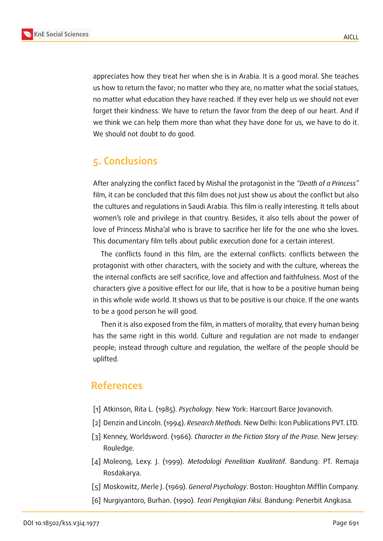

appreciates how they treat her when she is in Arabia. It is a good moral. She teaches us how to return the favor; no matter who they are, no matter what the social statues, no matter what education they have reached. If they ever help us we should not ever forget their kindness. We have to return the favor from the deep of our heart. And if we think we can help them more than what they have done for us, we have to do it. We should not doubt to do good.

# **5. Conclusions**

After analyzing the conflict faced by Mishal the protagonist in the *"Death of a Princess"* film, it can be concluded that this film does not just show us about the conflict but also the cultures and regulations in Saudi Arabia. This film is really interesting. It tells about women's role and privilege in that country. Besides, it also tells about the power of love of Princess Misha'al who is brave to sacrifice her life for the one who she loves. This documentary film tells about public execution done for a certain interest.

The conflicts found in this film, are the external conflicts: conflicts between the protagonist with other characters, with the society and with the culture, whereas the the internal conflicts are self sacrifice, love and affection and faithfulness. Most of the characters give a positive effect for our life, that is how to be a positive human being in this whole wide world. It shows us that to be positive is our choice. If the one wants to be a good person he will good.

Then it is also exposed from the film, in matters of morality, that every human being has the same right in this world. Culture and regulation are not made to endanger people; instead through culture and regulation, the welfare of the people should be uplifted.

### **References**

- [1] Atkinson, Rita L. (1985). *Psychology*. New York: Harcourt Barce Jovanovich.
- [2] Denzin and Lincoln. (1994). *Research Methods*. New Delhi: Icon Publications PVT. LTD.
- [3] Kenney, Worldsword. (1966). *Character in the Fiction Story of the Prose.* New Jersey: Rouledge.
- [4] Moleong, Lexy. J. (1999). *Metodologi Penelitian Kualitatif*. Bandung: PT. Remaja Rosdakarya.
- [5] Moskowitz, Merle J. (1969). *General Psychology*. Boston: Houghton Mifflin Company.
- [6] Nurgiyantoro, Burhan. (1990). *Teori Pengkajian Fiksi*. Bandung: Penerbit Angkasa.